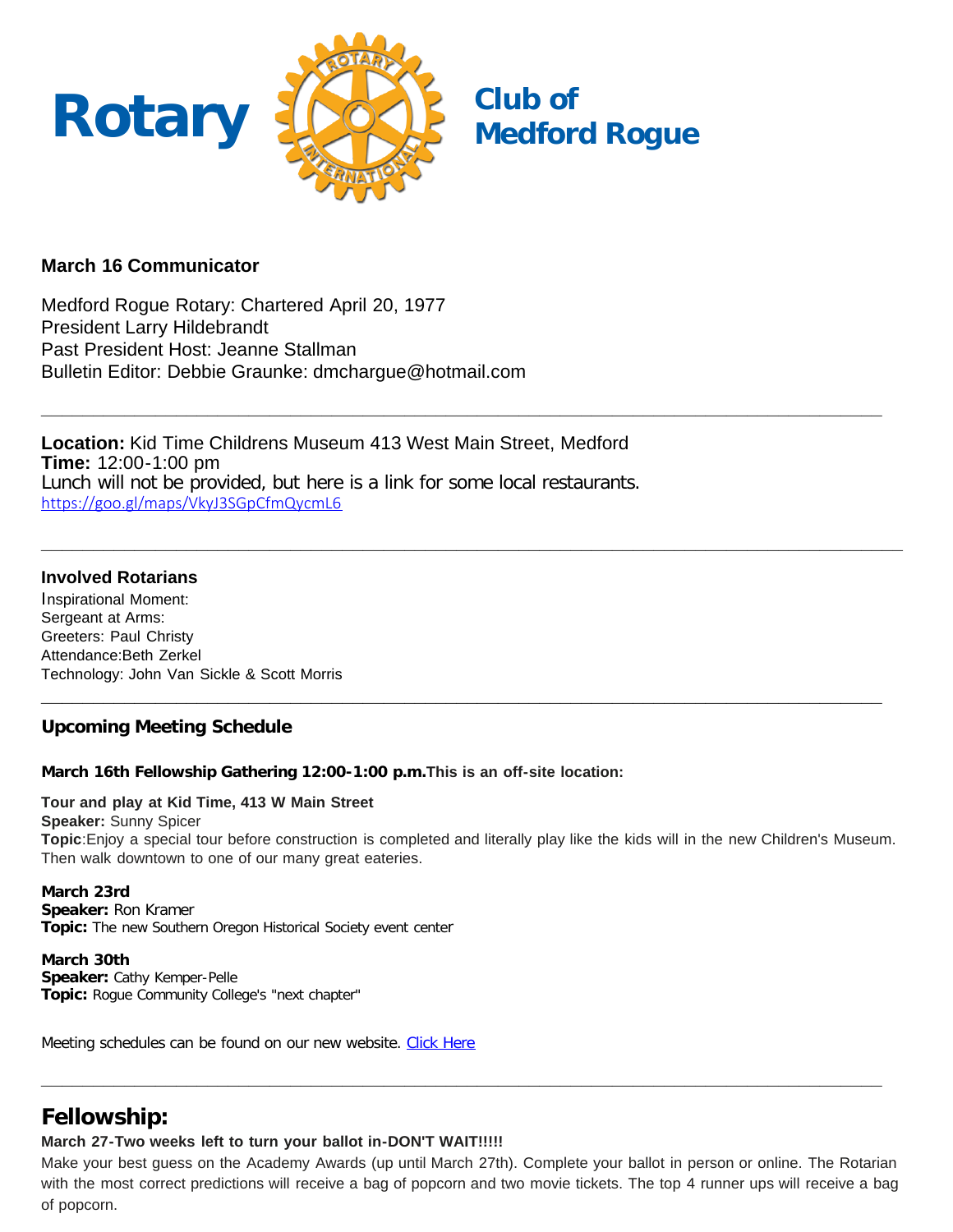

# **March 16 Communicator**

Medford Rogue Rotary: Chartered April 20, 1977 President Larry Hildebrandt Past President Host: Jeanne Stallman Bulletin Editor: Debbie Graunke: dmchargue@hotmail.com

**Location:** Kid Time Childrens Museum 413 West Main Street, Medford **Time:** 12:00-1:00 pm Lunch will not be provided, but here is a link for some local restaurants. [https://goo.gl/maps/VkyJ3SGpCfmQycmL6](https://nam12.safelinks.protection.outlook.com/?url=https%3A%2F%2Fgoo.gl%2Fmaps%2FVkyJ3SGpCfmQycmL6&data=04%7C01%7C%7C45a12edf2049406c73ce08da0525c102%7C84df9e7fe9f640afb435aaaaaaaaaaaa%7C1%7C0%7C637827956964897527%7CUnknown%7CTWFpbGZsb3d8eyJWIjoiMC4wLjAwMDAiLCJQIjoiV2luMzIiLCJBTiI6Ik1haWwiLCJXVCI6Mn0%3D%7C3000&sdata=ZimKUTREPMGb2TRe%2Fd7gXsF1LosEJ1X9L3pvLK0Bikk%3D&reserved=0)

# **Involved Rotarians**

Inspirational Moment: Sergeant at Arms: Greeters: Paul Christy Attendance:Beth Zerkel Technology: John Van Sickle & Scott Morris

# **Upcoming Meeting Schedule**

### **March 16th Fellowship Gathering 12:00-1:00 p.m.This is an off-site location:**

# **Tour and play at Kid Time, 413 W Main Street**

**Speaker:** Sunny Spicer

**Topic**:Enjoy a special tour before construction is completed and literally play like the kids will in the new Children's Museum. Then walk downtown to one of our many great eateries.

**\_\_\_\_\_\_\_\_\_\_\_\_\_\_\_\_\_\_\_\_\_\_\_\_\_\_\_\_\_\_\_\_\_\_\_\_\_\_\_\_\_\_\_\_\_\_\_\_\_\_\_\_\_\_\_\_\_\_\_\_\_\_\_\_\_\_\_\_\_\_\_\_\_\_\_\_\_\_\_\_\_**

**\_\_\_\_\_\_\_\_\_\_\_\_\_\_\_\_\_\_\_\_\_\_\_\_\_\_\_\_\_\_\_\_\_\_\_\_\_\_\_\_\_\_\_\_\_\_\_\_\_\_\_\_\_\_\_\_\_\_\_\_\_\_\_\_\_\_\_\_\_\_\_\_\_\_\_\_\_\_\_\_\_**

**\_\_\_\_\_\_\_\_\_\_\_\_\_\_\_\_\_\_\_\_\_\_\_\_\_\_\_\_\_\_\_\_\_\_\_\_\_\_\_\_\_\_\_\_\_\_\_\_\_\_\_\_\_\_\_\_\_\_\_\_\_\_\_\_\_\_\_\_\_\_\_\_\_\_\_\_\_\_\_\_\_\_\_**

#### **March 23rd**

**Speaker:** Ron Kramer **Topic:** The new Southern Oregon Historical Society event center

**March 30th Speaker:** Cathy Kemper-Pelle **Topic:** Rogue Community College's "next chapter"

Meeting schedules can be found on our new website. [Click Here](https://medfordrogue.org/)

# **Fellowship:**

### **March 27-Two weeks left to turn your ballot in-DON'T WAIT!!!!!**

Make your best guess on the Academy Awards (up until March 27th). Complete your ballot in person or online. The Rotarian with the most correct predictions will receive a bag of popcorn and two movie tickets. The top 4 runner ups will receive a bag of popcorn.

**\_\_\_\_\_\_\_\_\_\_\_\_\_\_\_\_\_\_\_\_\_\_\_\_\_\_\_\_\_\_\_\_\_\_\_\_\_\_\_\_\_\_\_\_\_\_\_\_\_\_\_\_\_\_\_\_\_\_\_\_\_\_\_\_\_\_\_\_\_\_\_\_\_\_\_\_\_\_\_\_\_**